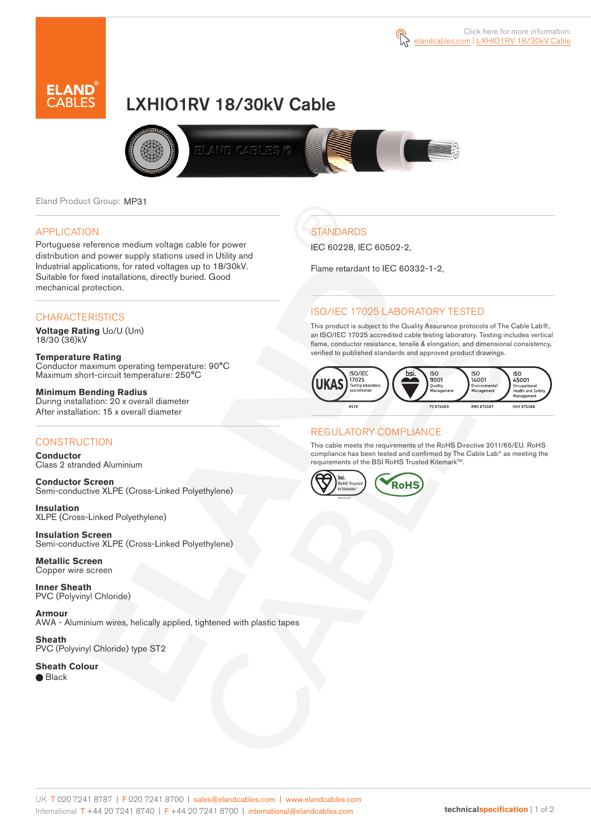



# LXHIO1RV 18/30kV Cable



Eland Product Group: MP31

### APPLICATION

Portuguese reference medium voltage cable for power distribution and power supply stations used in Utility and Industrial applications, for rated voltages up to 18/30kV. Suitable for fixed installations, directly buried. Good mechanical protection.

### **CHARACTERISTICS**

**Voltage Rating** Uo/U (Um) 18/30 (36)kV

**Temperature Rating** Conductor maximum operating temperature: 90°C Maximum short-circuit temperature: 250°C

**Minimum Bending Radius** During installation: 20 x overall diameter After installation: 15 x overall diameter

## **CONSTRUCTION**

**Conductor**  Class 2 stranded Aluminium

**Conductor Screen** Semi-conductive XLPE (Cross-Linked Polyethylene)

**Insulation** XLPE (Cross-Linked Polyethylene)

**Insulation Screen** Semi-conductive XLPE (Cross-Linked Polyethylene)

**Metallic Screen**  Copper wire screen

**Inner Sheath** PVC (Polyvinyl Chloride)

**Armour** AWA - Aluminium wires, helically applied, tightened with plastic tapes

**Sheath** PVC (Polyvinyl Chloride) type ST2

**Sheath Colour**  ● Black

**STANDARDS** 

IEC 60228, IEC 60502-2,

Flame retardant to IEC 60332-1-2,

## ISO/IEC 17025 LABORATORY TESTED

This product is subject to the Quality Assurance protocols of The Cable Lab®, an ISO/IEC 17025 accredited cable testing laboratory. Testing includes vertical flame, conductor resistance, tensile & elongation, and dimensional consistency, verified to published standards and approved product drawings.



## REGULATORY COMPLIANCE

This cable meets the requirements of the RoHS Directive 2011/65/EU. RoHS compliance has been tested and confirmed by The Cable Lab® as meeting the requirements of the BSI RoHS Trusted Kitemark™.